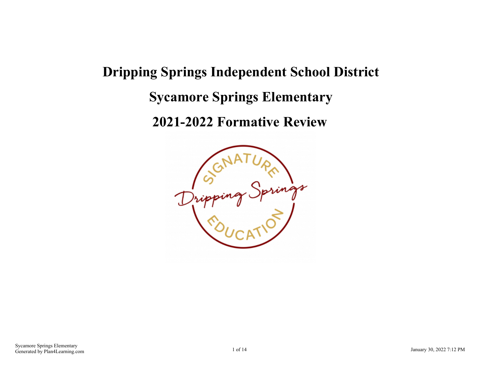# **Dripping Springs Independent School District Sycamore Springs Elementary**

**2021-2022 Formative Review**

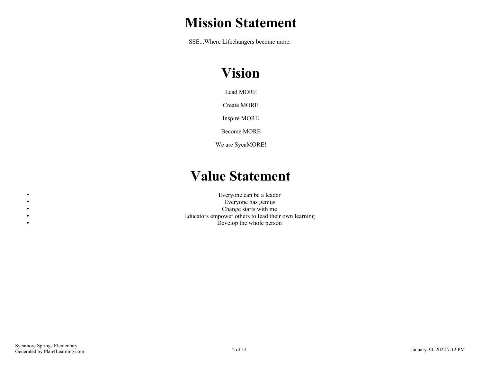# **Mission Statement**

SSE...Where Lifechangers become more.

# **Vision**

Lead MORE

Create MORE

Inspire MORE

Become MORE

We are SycaMORE!

# **Value Statement**

Everyone can be a leader Everyone has genius Change starts with me Educators empower others to lead their own learning Develop the whole person

 $\bullet$  $\bullet$  $\bullet$  $\bullet$  $\bullet$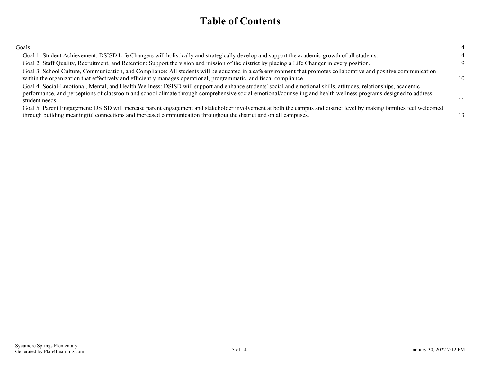## **Table of Contents**

| Goals                                                                                                                                                                                                                                                                                                                                                |  |
|------------------------------------------------------------------------------------------------------------------------------------------------------------------------------------------------------------------------------------------------------------------------------------------------------------------------------------------------------|--|
| Goal 1: Student Achievement: DSISD Life Changers will holistically and strategically develop and support the academic growth of all students.                                                                                                                                                                                                        |  |
| Goal 2: Staff Quality, Recruitment, and Retention: Support the vision and mission of the district by placing a Life Changer in every position.                                                                                                                                                                                                       |  |
| Goal 3: School Culture, Communication, and Compliance: All students will be educated in a safe environment that promotes collaborative and positive communication<br>within the organization that effectively and efficiently manages operational, programmatic, and fiscal compliance.                                                              |  |
| Goal 4: Social-Emotional, Mental, and Health Wellness: DSISD will support and enhance students' social and emotional skills, attitudes, relationships, academic<br>performance, and perceptions of classroom and school climate through comprehensive social-emotional/counseling and health wellness programs designed to address<br>student needs. |  |
| Goal 5: Parent Engagement: DSISD will increase parent engagement and stakeholder involvement at both the campus and district level by making families feel welcomed<br>through building meaningful connections and increased communication throughout the district and on all campuses.                                                              |  |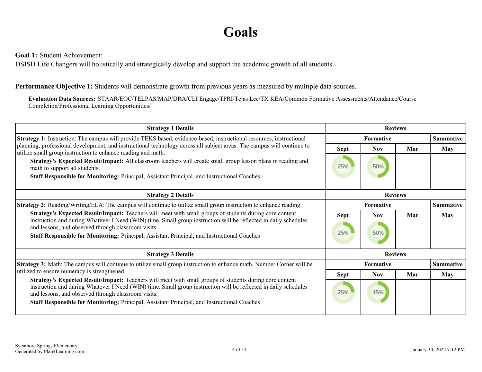# **Goals**

<span id="page-3-0"></span>**Goal 1:** Student Achievement:

DSISD Life Changers will holistically and strategically develop and support the academic growth of all students.

### **Performance Objective 1:** Students will demonstrate growth from previous years as measured by multiple data sources.

**Evaluation Data Sources:** STAAR/EOC/TELPAS/MAP/DRA/CLI Engage/TPRI/Tejas Lee/TX KEA/Common Formative Assessments/Attendance/Course Completion/Professional Learning Opportunities/

| <b>Strategy 1 Details</b>                                                                                                                                                                                                                                                         | <b>Reviews</b>   |                  |                |                  |                  |
|-----------------------------------------------------------------------------------------------------------------------------------------------------------------------------------------------------------------------------------------------------------------------------------|------------------|------------------|----------------|------------------|------------------|
| Strategy 1: Instruction: The campus will provide TEKS based, evidence-based, instructional resources, instructional                                                                                                                                                               |                  | <b>Formative</b> |                | <b>Summative</b> |                  |
| planning, professional development, and instructional technology across all subject areas. The campus will continue to<br>utilize small group instruction to enhance reading and math.                                                                                            | Sept             | <b>Nov</b>       | Mar            | <b>May</b>       |                  |
| Strategy's Expected Result/Impact: All classroom teachers will create small group lesson plans in reading and<br>math to support all students.                                                                                                                                    | 25%              | 50%              |                |                  |                  |
| Staff Responsible for Monitoring: Principal, Assistant Principal, and Instructional Coaches.                                                                                                                                                                                      |                  |                  |                |                  |                  |
| <b>Strategy 2 Details</b>                                                                                                                                                                                                                                                         |                  |                  | <b>Reviews</b> |                  |                  |
| <b>Strategy 2:</b> Reading/Writing/ELA: The campus will continue to utilize small group instruction to enhance reading.                                                                                                                                                           | <b>Formative</b> |                  |                |                  | <b>Summative</b> |
| Strategy's Expected Result/Impact: Teachers will meet with small groups of students during core content                                                                                                                                                                           | <b>Sept</b>      | <b>Nov</b>       | Mar            | <b>May</b>       |                  |
| instruction and during Whatever I Need (WIN) time. Small group instruction will be reflected in daily schedules<br>and lessons, and observed through classroom visits.                                                                                                            |                  |                  |                |                  |                  |
| Staff Responsible for Monitoring: Principal, Assistant Principal, and Instructional Coaches                                                                                                                                                                                       | 25%              | 50%              |                |                  |                  |
| <b>Strategy 3 Details</b>                                                                                                                                                                                                                                                         |                  |                  | <b>Reviews</b> |                  |                  |
| <b>Strategy 3:</b> Math: The campus will continue to utilize small group instruction to enhance math. Number Corner will be                                                                                                                                                       |                  | <b>Formative</b> |                | <b>Summative</b> |                  |
| utilized to ensure numeracy is strengthened.                                                                                                                                                                                                                                      | Sept             | <b>Nov</b>       | Mar            | May              |                  |
| Strategy's Expected Result/Impact: Teachers will meet with small groups of students during core content<br>instruction and during Whatever I Need (WIN) time. Small group instruction will be reflected in daily schedules<br>and lessons, and observed through classroom visits. | 25%              | 45%              |                |                  |                  |
| Staff Responsible for Monitoring: Principal, Assistant Principal, and Instructional Coaches                                                                                                                                                                                       |                  |                  |                |                  |                  |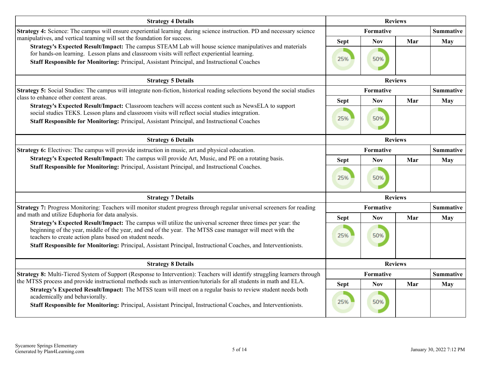| <b>Strategy 4 Details</b>                                                                                                                                                                                                                                                                                                                                                         | <b>Reviews</b>     |                   |                |                  |
|-----------------------------------------------------------------------------------------------------------------------------------------------------------------------------------------------------------------------------------------------------------------------------------------------------------------------------------------------------------------------------------|--------------------|-------------------|----------------|------------------|
| Strategy 4: Science: The campus will ensure experiential learning during science instruction. PD and necessary science                                                                                                                                                                                                                                                            |                    | Formative         |                | <b>Summative</b> |
| manipulatives, and vertical teaming will set the foundation for success.<br>Strategy's Expected Result/Impact: The campus STEAM Lab will house science manipulatives and materials<br>for hands-on learning. Lesson plans and classroom visits will reflect experiential learning.<br>Staff Responsible for Monitoring: Principal, Assistant Principal, and Instructional Coaches | <b>Sept</b><br>25% | <b>Nov</b><br>50% | Mar            | May              |
| <b>Strategy 5 Details</b>                                                                                                                                                                                                                                                                                                                                                         |                    | <b>Reviews</b>    |                |                  |
| Strategy 5: Social Studies: The campus will integrate non-fiction, historical reading selections beyond the social studies                                                                                                                                                                                                                                                        |                    | Formative         |                |                  |
| class to enhance other content areas.<br>Strategy's Expected Result/Impact: Classroom teachers will access content such as NewsELA to support                                                                                                                                                                                                                                     | <b>Sept</b>        | <b>Nov</b>        | Mar            | <b>May</b>       |
| social studies TEKS. Lesson plans and classroom visits will reflect social studies integration.<br>Staff Responsible for Monitoring: Principal, Assistant Principal, and Instructional Coaches                                                                                                                                                                                    | 25%                | 50%               |                |                  |
| <b>Strategy 6 Details</b>                                                                                                                                                                                                                                                                                                                                                         | <b>Reviews</b>     |                   |                |                  |
| <b>Strategy 6:</b> Electives: The campus will provide instruction in music, art and physical education.                                                                                                                                                                                                                                                                           |                    | Formative         |                | <b>Summative</b> |
| Strategy's Expected Result/Impact: The campus will provide Art, Music, and PE on a rotating basis.                                                                                                                                                                                                                                                                                | <b>Sept</b>        | <b>Nov</b>        | Mar            | <b>May</b>       |
| Staff Responsible for Monitoring: Principal, Assistant Principal, and Instructional Coaches.                                                                                                                                                                                                                                                                                      | 25%                | 50%               |                |                  |
| <b>Strategy 7 Details</b>                                                                                                                                                                                                                                                                                                                                                         |                    |                   | <b>Reviews</b> |                  |
| Strategy 7: Progress Monitoring: Teachers will monitor student progress through regular universal screeners for reading                                                                                                                                                                                                                                                           |                    | Formative         |                | <b>Summative</b> |
| and math and utilize Eduphoria for data analysis.<br>Strategy's Expected Result/Impact: The campus will utilize the universal screener three times per year: the                                                                                                                                                                                                                  | <b>Sept</b>        | <b>Nov</b>        | Mar            | <b>May</b>       |
| beginning of the year, middle of the year, and end of the year. The MTSS case manager will meet with the<br>teachers to create action plans based on student needs.<br>Staff Responsible for Monitoring: Principal, Assistant Principal, Instructional Coaches, and Interventionists.                                                                                             | 25%                | 50%               |                |                  |
| <b>Strategy 8 Details</b>                                                                                                                                                                                                                                                                                                                                                         |                    | <b>Reviews</b>    |                |                  |
| Strategy 8: Multi-Tiered System of Support (Response to Intervention): Teachers will identify struggling learners through                                                                                                                                                                                                                                                         |                    | Formative         |                | <b>Summative</b> |
| the MTSS process and provide instructional methods such as intervention/tutorials for all students in math and ELA.<br>Strategy's Expected Result/Impact: The MTSS team will meet on a regular basis to review student needs both                                                                                                                                                 | <b>Sept</b>        | <b>Nov</b>        | Mar            | <b>May</b>       |
| academically and behaviorally.<br>Staff Responsible for Monitoring: Principal, Assistant Principal, Instructional Coaches, and Interventionists.                                                                                                                                                                                                                                  | 25%                | 50%               |                |                  |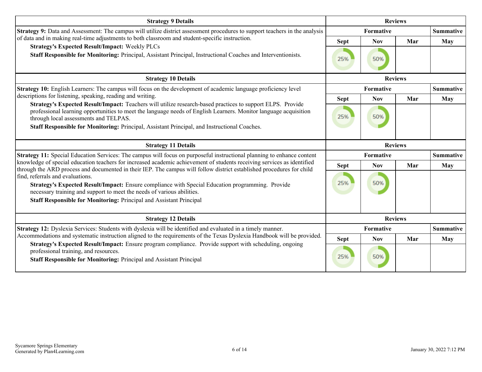| <b>Strategy 9 Details</b>                                                                                                                                                                                                                                                                                                                                                                                      | <b>Reviews</b>     |                   |                |                  |
|----------------------------------------------------------------------------------------------------------------------------------------------------------------------------------------------------------------------------------------------------------------------------------------------------------------------------------------------------------------------------------------------------------------|--------------------|-------------------|----------------|------------------|
| Strategy 9: Data and Assessment: The campus will utilize district assessment procedures to support teachers in the analysis                                                                                                                                                                                                                                                                                    |                    | Formative         |                |                  |
| of data and in making real-time adjustments to both classroom and student-specific instruction.                                                                                                                                                                                                                                                                                                                | <b>Sept</b>        | <b>Nov</b>        | Mar            | May              |
| <b>Strategy's Expected Result/Impact: Weekly PLCs</b><br>Staff Responsible for Monitoring: Principal, Assistant Principal, Instructional Coaches and Interventionists.                                                                                                                                                                                                                                         | 25%                | 50%               |                |                  |
| <b>Strategy 10 Details</b>                                                                                                                                                                                                                                                                                                                                                                                     |                    | <b>Reviews</b>    |                |                  |
| <b>Strategy 10:</b> English Learners: The campus will focus on the development of academic language proficiency level                                                                                                                                                                                                                                                                                          |                    | Formative         |                |                  |
| descriptions for listening, speaking, reading and writing.                                                                                                                                                                                                                                                                                                                                                     | <b>Sept</b>        | <b>Nov</b>        | Mar            | <b>May</b>       |
| Strategy's Expected Result/Impact: Teachers will utilize research-based practices to support ELPS. Provide<br>professional learning opportunities to meet the language needs of English Learners. Monitor language acquisition<br>through local assessments and TELPAS.<br>Staff Responsible for Monitoring: Principal, Assistant Principal, and Instructional Coaches.                                        | 25%                | 50%               |                |                  |
| <b>Strategy 11 Details</b>                                                                                                                                                                                                                                                                                                                                                                                     |                    |                   | <b>Reviews</b> |                  |
| Strategy 11: Special Education Services: The campus will focus on purposeful instructional planning to enhance content<br>knowledge of special education teachers for increased academic achievement of students receiving services as identified                                                                                                                                                              |                    | Formative         |                | <b>Summative</b> |
| through the ARD process and documented in their IEP. The campus will follow district established procedures for child<br>find, referrals and evaluations.<br>Strategy's Expected Result/Impact: Ensure compliance with Special Education programming. Provide<br>necessary training and support to meet the needs of various abilities.<br>Staff Responsible for Monitoring: Principal and Assistant Principal | <b>Sept</b><br>25% | <b>Nov</b><br>50% | Mar            | May              |
| <b>Strategy 12 Details</b>                                                                                                                                                                                                                                                                                                                                                                                     |                    |                   | <b>Reviews</b> |                  |
| Strategy 12: Dyslexia Services: Students with dyslexia will be identified and evaluated in a timely manner.                                                                                                                                                                                                                                                                                                    |                    | Formative         |                | <b>Summative</b> |
| Accommodations and systematic instruction aligned to the requirements of the Texas Dyslexia Handbook will be provided.<br>Strategy's Expected Result/Impact: Ensure program compliance. Provide support with scheduling, ongoing                                                                                                                                                                               | <b>Sept</b>        | <b>Nov</b>        | Mar            | May              |
| professional training, and resources.<br>Staff Responsible for Monitoring: Principal and Assistant Principal                                                                                                                                                                                                                                                                                                   | 25%                | 50%               |                |                  |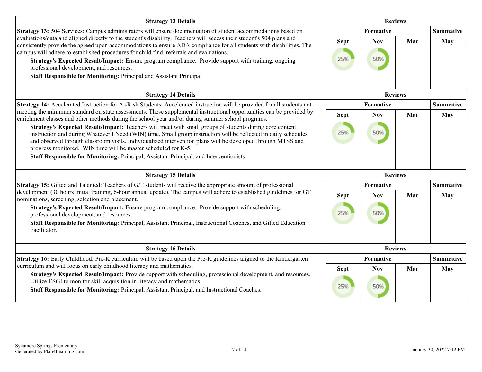| <b>Strategy 13 Details</b>                                                                                                                                                                                                                                                                                                                                                                                                                                                                                                                                          | <b>Reviews</b>     |                   |                  |                  |
|---------------------------------------------------------------------------------------------------------------------------------------------------------------------------------------------------------------------------------------------------------------------------------------------------------------------------------------------------------------------------------------------------------------------------------------------------------------------------------------------------------------------------------------------------------------------|--------------------|-------------------|------------------|------------------|
| Strategy 13: 504 Services: Campus administrators will ensure documentation of student accommodations based on                                                                                                                                                                                                                                                                                                                                                                                                                                                       |                    | Formative         | <b>Summative</b> |                  |
| evaluations/data and aligned directly to the student's disability. Teachers will access their student's 504 plans and<br>consistently provide the agreed upon accommodations to ensure ADA compliance for all students with disabilities. The<br>campus will adhere to established procedures for child find, referrals and evaluations.<br>Strategy's Expected Result/Impact: Ensure program compliance. Provide support with training, ongoing<br>professional development, and resources.<br>Staff Responsible for Monitoring: Principal and Assistant Principal | <b>Sept</b><br>25% | <b>Nov</b><br>50% | Mar              | <b>May</b>       |
| <b>Strategy 14 Details</b>                                                                                                                                                                                                                                                                                                                                                                                                                                                                                                                                          |                    |                   | <b>Reviews</b>   |                  |
| Strategy 14: Accelerated Instruction for At-Risk Students: Accelerated instruction will be provided for all students not                                                                                                                                                                                                                                                                                                                                                                                                                                            |                    | Formative         |                  | <b>Summative</b> |
| meeting the minimum standard on state assessments. These supplemental instructional opportunities can be provided by<br>enrichment classes and other methods during the school year and/or during summer school programs.                                                                                                                                                                                                                                                                                                                                           | <b>Sept</b>        | <b>Nov</b>        | Mar              | <b>May</b>       |
| Strategy's Expected Result/Impact: Teachers will meet with small groups of students during core content<br>instruction and during Whatever I Need (WIN) time. Small group instruction will be reflected in daily schedules<br>and observed through classroom visits. Individualized intervention plans will be developed through MTSS and<br>progress monitored. WIN time will be master scheduled for K-5.<br>Staff Responsible for Monitoring: Principal, Assistant Principal, and Interventionists.                                                              | 25%                | 50%               |                  |                  |
| <b>Strategy 15 Details</b>                                                                                                                                                                                                                                                                                                                                                                                                                                                                                                                                          |                    |                   | <b>Reviews</b>   |                  |
| Strategy 15: Gifted and Talented: Teachers of G/T students will receive the appropriate amount of professional                                                                                                                                                                                                                                                                                                                                                                                                                                                      |                    | Formative         |                  | <b>Summative</b> |
| development (30 hours initial training, 6-hour annual update). The campus will adhere to established guidelines for GT<br>nominations, screening, selection and placement.                                                                                                                                                                                                                                                                                                                                                                                          | <b>Sept</b>        | <b>Nov</b>        | Mar              | <b>May</b>       |
| Strategy's Expected Result/Impact: Ensure program compliance. Provide support with scheduling,<br>professional development, and resources.<br>Staff Responsible for Monitoring: Principal, Assistant Principal, Instructional Coaches, and Gifted Education<br>Facilitator.                                                                                                                                                                                                                                                                                         | 25%                | 50%               |                  |                  |
| <b>Strategy 16 Details</b>                                                                                                                                                                                                                                                                                                                                                                                                                                                                                                                                          |                    |                   | <b>Reviews</b>   |                  |
| Strategy 16: Early Childhood: Pre-K curriculum will be based upon the Pre-K guidelines aligned to the Kindergarten                                                                                                                                                                                                                                                                                                                                                                                                                                                  |                    | Formative         |                  | <b>Summative</b> |
| curriculum and will focus on early childhood literacy and mathematics.<br>Strategy's Expected Result/Impact: Provide support with scheduling, professional development, and resources.                                                                                                                                                                                                                                                                                                                                                                              | <b>Sept</b>        | <b>Nov</b>        | Mar              | May              |
| Utilize ESGI to monitor skill acquisition in literacy and mathematics.<br>Staff Responsible for Monitoring: Principal, Assistant Principal, and Instructional Coaches.                                                                                                                                                                                                                                                                                                                                                                                              | 25%                | 50%               |                  |                  |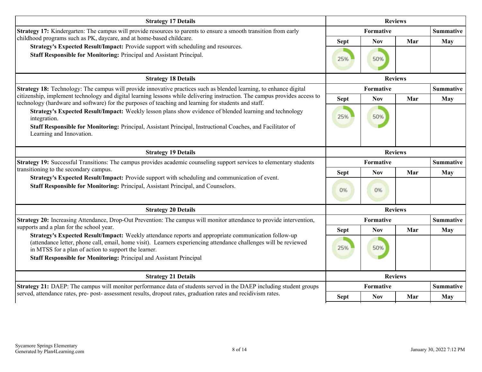| <b>Strategy 17 Details</b>                                                                                                                                                                                                                                         | <b>Reviews</b> |            |                |                  |
|--------------------------------------------------------------------------------------------------------------------------------------------------------------------------------------------------------------------------------------------------------------------|----------------|------------|----------------|------------------|
| Strategy 17: Kindergarten: The campus will provide resources to parents to ensure a smooth transition from early                                                                                                                                                   |                | Formative  |                | <b>Summative</b> |
| childhood programs such as PK, daycare, and at home-based childcare.                                                                                                                                                                                               | <b>Sept</b>    | <b>Nov</b> | Mar            | May              |
| Strategy's Expected Result/Impact: Provide support with scheduling and resources.<br>Staff Responsible for Monitoring: Principal and Assistant Principal.                                                                                                          | 25%            | 50%        |                |                  |
| <b>Strategy 18 Details</b>                                                                                                                                                                                                                                         |                |            |                |                  |
| Strategy 18: Technology: The campus will provide innovative practices such as blended learning, to enhance digital                                                                                                                                                 |                | Formative  |                | <b>Summative</b> |
| citizenship, implement technology and digital learning lessons while delivering instruction. The campus provides access to<br>technology (hardware and software) for the purposes of teaching and learning for students and staff.                                 | <b>Sept</b>    | <b>Nov</b> | Mar            | May              |
| Strategy's Expected Result/Impact: Weekly lesson plans show evidence of blended learning and technology<br>integration.<br>Staff Responsible for Monitoring: Principal, Assistant Principal, Instructional Coaches, and Facilitator of<br>Learning and Innovation. | 25%            | 50%        |                |                  |
| <b>Strategy 19 Details</b>                                                                                                                                                                                                                                         |                |            | <b>Reviews</b> |                  |
| Strategy 19: Successful Transitions: The campus provides academic counseling support services to elementary students                                                                                                                                               |                | Formative  |                | <b>Summative</b> |
| transitioning to the secondary campus.<br>Strategy's Expected Result/Impact: Provide support with scheduling and communication of event.                                                                                                                           | <b>Sept</b>    | <b>Nov</b> | Mar            | May              |
| Staff Responsible for Monitoring: Principal, Assistant Principal, and Counselors.                                                                                                                                                                                  | 0%             | 0%         |                |                  |
| <b>Strategy 20 Details</b>                                                                                                                                                                                                                                         |                |            | <b>Reviews</b> |                  |
| Strategy 20: Increasing Attendance, Drop-Out Prevention: The campus will monitor attendance to provide intervention,                                                                                                                                               |                | Formative  |                | <b>Summative</b> |
| supports and a plan for the school year.<br>Strategy's Expected Result/Impact: Weekly attendance reports and appropriate communication follow-up                                                                                                                   | <b>Sept</b>    | <b>Nov</b> | Mar            | <b>May</b>       |
| (attendance letter, phone call, email, home visit). Learners experiencing attendance challenges will be reviewed<br>in MTSS for a plan of action to support the learner.<br><b>Staff Responsible for Monitoring: Principal and Assistant Principal</b>             | 25%            | 50%        |                |                  |
| <b>Strategy 21 Details</b>                                                                                                                                                                                                                                         |                |            | <b>Reviews</b> |                  |
| Strategy 21: DAEP: The campus will monitor performance data of students served in the DAEP including student groups                                                                                                                                                |                | Formative  |                | <b>Summative</b> |
| served, attendance rates, pre- post- assessment results, dropout rates, graduation rates and recidivism rates.                                                                                                                                                     | <b>Sept</b>    | <b>Nov</b> | Mar            | <b>May</b>       |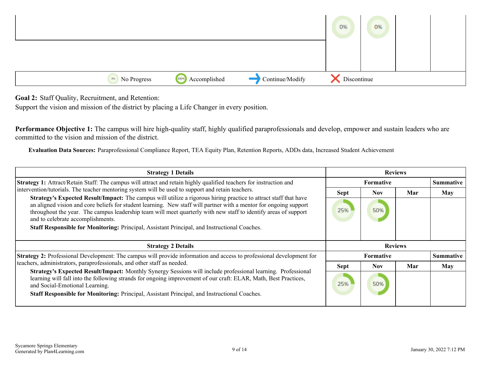<span id="page-8-0"></span>

**Goal 2:** Staff Quality, Recruitment, and Retention:

Support the vision and mission of the district by placing a Life Changer in every position.

**Performance Objective 1:** The campus will hire high-quality staff, highly qualified paraprofessionals and develop, empower and sustain leaders who are committed to the vision and mission of the district.

**Evaluation Data Sources:** Paraprofessional Compliance Report, TEA Equity Plan, Retention Reports, ADDs data, Increased Student Achievement

| <b>Strategy 1 Details</b>                                                                                                                                                                                                                                                                                                                                                                                                                                                                            | <b>Reviews</b> |                  |     |                  |
|------------------------------------------------------------------------------------------------------------------------------------------------------------------------------------------------------------------------------------------------------------------------------------------------------------------------------------------------------------------------------------------------------------------------------------------------------------------------------------------------------|----------------|------------------|-----|------------------|
| Strategy 1: Attract/Retain Staff: The campus will attract and retain highly qualified teachers for instruction and                                                                                                                                                                                                                                                                                                                                                                                   |                | <b>Formative</b> |     | <b>Summative</b> |
| intervention/tutorials. The teacher mentoring system will be used to support and retain teachers.                                                                                                                                                                                                                                                                                                                                                                                                    | <b>Sept</b>    | <b>Nov</b>       | Mar | <b>May</b>       |
| <b>Strategy's Expected Result/Impact:</b> The campus will utilize a rigorous hiring practice to attract staff that have<br>an aligned vision and core beliefs for student learning. New staff will partner with a mentor for ongoing support<br>throughout the year. The campus leadership team will meet quarterly with new staff to identify areas of support<br>and to celebrate accomplishments.<br>Staff Responsible for Monitoring: Principal, Assistant Principal, and Instructional Coaches. | 25%            | 50%              |     |                  |
|                                                                                                                                                                                                                                                                                                                                                                                                                                                                                                      |                |                  |     |                  |
| <b>Strategy 2 Details</b>                                                                                                                                                                                                                                                                                                                                                                                                                                                                            |                | <b>Reviews</b>   |     |                  |
| <b>Strategy 2:</b> Professional Development: The campus will provide information and access to professional development for                                                                                                                                                                                                                                                                                                                                                                          |                | <b>Formative</b> |     | <b>Summative</b> |
| teachers, administrators, paraprofessionals, and other staff as needed.<br>Strategy's Expected Result/Impact: Monthly Synergy Sessions will include professional learning. Professional                                                                                                                                                                                                                                                                                                              | <b>Sept</b>    | <b>Nov</b>       | Mar | <b>May</b>       |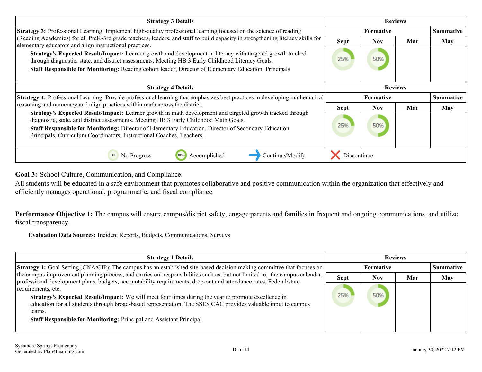<span id="page-9-0"></span>

| <b>Strategy 3 Details</b>                                                                                                                                                                                                                                                                                                                                                                                    | <b>Reviews</b>     |                   |     |                  |
|--------------------------------------------------------------------------------------------------------------------------------------------------------------------------------------------------------------------------------------------------------------------------------------------------------------------------------------------------------------------------------------------------------------|--------------------|-------------------|-----|------------------|
| Strategy 3: Professional Learning: Implement high-quality professional learning focused on the science of reading                                                                                                                                                                                                                                                                                            |                    | Formative         |     | <b>Summative</b> |
| (Reading Academies) for all PreK-3rd grade teachers, leaders, and staff to build capacity in strengthening literacy skills for<br>elementary educators and align instructional practices.<br>Strategy's Expected Result/Impact: Learner growth and development in literacy with targeted growth tracked<br>through diagnostic, state, and district assessments. Meeting HB 3 Early Childhood Literacy Goals. | <b>Sept</b><br>25% | <b>Nov</b><br>50% | Mar | <b>May</b>       |
| Staff Responsible for Monitoring: Reading cohort leader, Director of Elementary Education, Principals                                                                                                                                                                                                                                                                                                        |                    |                   |     |                  |
| <b>Strategy 4 Details</b>                                                                                                                                                                                                                                                                                                                                                                                    |                    | <b>Reviews</b>    |     |                  |
| Strategy 4: Professional Learning: Provide professional learning that emphasizes best practices in developing mathematical                                                                                                                                                                                                                                                                                   |                    | Formative         |     | <b>Summative</b> |
| reasoning and numeracy and align practices within math across the district.                                                                                                                                                                                                                                                                                                                                  | <b>Sept</b>        | <b>Nov</b>        | Mar | May              |
| Strategy's Expected Result/Impact: Learner growth in math development and targeted growth tracked through<br>diagnostic, state, and district assessments. Meeting HB 3 Early Childhood Math Goals.<br>Staff Responsible for Monitoring: Director of Elementary Education, Director of Secondary Education,<br>Principals, Curriculum Coordinators, Instructional Coaches, Teachers.                          | 25%                | 50%               |     |                  |
| Accomplished<br>No Progress<br>100%<br>0%<br>Continue/Modify                                                                                                                                                                                                                                                                                                                                                 | Discontinue        |                   |     |                  |

**Goal 3:** School Culture, Communication, and Compliance:

All students will be educated in a safe environment that promotes collaborative and positive communication within the organization that effectively and efficiently manages operational, programmatic, and fiscal compliance.

Performance Objective 1: The campus will ensure campus/district safety, engage parents and families in frequent and ongoing communications, and utilize fiscal transparency.

**Evaluation Data Sources:** Incident Reports, Budgets, Communications, Surveys

| <b>Strategy 1 Details</b>                                                                                                                                                                                                                                                                                                          | <b>Reviews</b> |                  |     |                  |
|------------------------------------------------------------------------------------------------------------------------------------------------------------------------------------------------------------------------------------------------------------------------------------------------------------------------------------|----------------|------------------|-----|------------------|
| <b>Strategy 1:</b> Goal Setting (CNA/CIP): The campus has an established site-based decision making committee that focuses on                                                                                                                                                                                                      |                | <b>Formative</b> |     | <b>Summative</b> |
| the campus improvement planning process, and carries out responsibilities such as, but not limited to, the campus calendar,<br>professional development plans, budgets, accountability requirements, drop-out and attendance rates, Federal/state                                                                                  | <b>Sept</b>    | Nov              | Mar | <b>May</b>       |
| requirements, etc.<br><b>Strategy's Expected Result/Impact:</b> We will meet four times during the year to promote excellence in<br>education for all students through broad-based representation. The SSES CAC provides valuable input to campus<br>teams.<br>Staff Responsible for Monitoring: Principal and Assistant Principal | 25%            | 50%              |     |                  |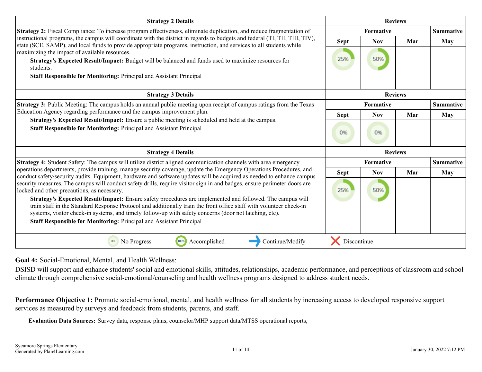<span id="page-10-0"></span>

| <b>Strategy 2 Details</b>                                                                                                                                                                                                                                   |             | <b>Reviews</b>                |     |                  |  |  |  |
|-------------------------------------------------------------------------------------------------------------------------------------------------------------------------------------------------------------------------------------------------------------|-------------|-------------------------------|-----|------------------|--|--|--|
| <b>Strategy 2:</b> Fiscal Compliance: To increase program effectiveness, eliminate duplication, and reduce fragmentation of<br>instructional programs, the campus will coordinate with the district in regards to budgets and federal (TI, TII, TIII, TIV), |             | Formative                     |     | <b>Summative</b> |  |  |  |
| state (SCE, SAMP), and local funds to provide appropriate programs, instruction, and services to all students while                                                                                                                                         | Sept        | <b>Nov</b>                    | Mar | May              |  |  |  |
| maximizing the impact of available resources.                                                                                                                                                                                                               |             |                               |     |                  |  |  |  |
| Strategy's Expected Result/Impact: Budget will be balanced and funds used to maximize resources for                                                                                                                                                         | 25%         | 50%                           |     |                  |  |  |  |
| students.                                                                                                                                                                                                                                                   |             |                               |     |                  |  |  |  |
| Staff Responsible for Monitoring: Principal and Assistant Principal                                                                                                                                                                                         |             |                               |     |                  |  |  |  |
| <b>Strategy 3 Details</b>                                                                                                                                                                                                                                   |             | <b>Reviews</b>                |     |                  |  |  |  |
| <b>Strategy 3:</b> Public Meeting: The campus holds an annual public meeting upon receipt of campus ratings from the Texas                                                                                                                                  |             | <b>Summative</b><br>Formative |     |                  |  |  |  |
| Education Agency regarding performance and the campus improvement plan.<br>Strategy's Expected Result/Impact: Ensure a public meeting is scheduled and held at the campus.                                                                                  | <b>Sept</b> | <b>Nov</b>                    | Mar | May              |  |  |  |
| <b>Staff Responsible for Monitoring: Principal and Assistant Principal</b>                                                                                                                                                                                  |             |                               |     |                  |  |  |  |
|                                                                                                                                                                                                                                                             | 0%          | 0%                            |     |                  |  |  |  |
| <b>Strategy 4 Details</b>                                                                                                                                                                                                                                   |             | <b>Reviews</b>                |     |                  |  |  |  |
| Strategy 4: Student Safety: The campus will utilize district aligned communication channels with area emergency                                                                                                                                             |             | Formative                     |     | <b>Summative</b> |  |  |  |
| operations departments, provide training, manage security coverage, update the Emergency Operations Procedures, and<br>conduct safety/security audits. Equipment, hardware and software updates will be acquired as needed to enhance campus                | <b>Sept</b> | <b>Nov</b>                    | Mar | May              |  |  |  |
| security measures. The campus will conduct safety drills, require visitor sign in and badges, ensure perimeter doors are                                                                                                                                    |             |                               |     |                  |  |  |  |
| locked and other precautions, as necessary.                                                                                                                                                                                                                 | 25%         | 50%                           |     |                  |  |  |  |
| Strategy's Expected Result/Impact: Ensure safety procedures are implemented and followed. The campus will                                                                                                                                                   |             |                               |     |                  |  |  |  |
| train staff in the Standard Response Protocol and additionally train the front office staff with volunteer check-in<br>systems, visitor check-in systems, and timely follow-up with safety concerns (door not latching, etc).                               |             |                               |     |                  |  |  |  |
| <b>Staff Responsible for Monitoring: Principal and Assistant Principal</b>                                                                                                                                                                                  |             |                               |     |                  |  |  |  |
|                                                                                                                                                                                                                                                             |             |                               |     |                  |  |  |  |
| 0%<br>100%<br>Accomplished<br>Continue/Modify<br>No Progress                                                                                                                                                                                                | Discontinue |                               |     |                  |  |  |  |

**Goal 4:** Social-Emotional, Mental, and Health Wellness:

DSISD will support and enhance students' social and emotional skills, attitudes, relationships, academic performance, and perceptions of classroom and school climate through comprehensive social-emotional/counseling and health wellness programs designed to address student needs.

**Performance Objective 1:** Promote social-emotional, mental, and health wellness for all students by increasing access to developed responsive support services as measured by surveys and feedback from students, parents, and staff.

**Evaluation Data Sources:** Survey data, response plans, counselor/MHP support data/MTSS operational reports,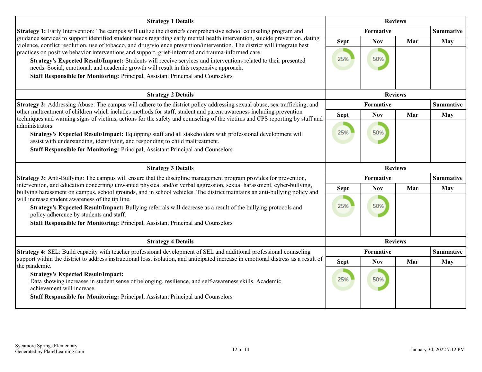| <b>Strategy 1 Details</b>                                                                                                                                                                                                                                                                                                                                                                                                                                                                                                                                                                                                                                       | <b>Reviews</b>     |                   |                |                  |
|-----------------------------------------------------------------------------------------------------------------------------------------------------------------------------------------------------------------------------------------------------------------------------------------------------------------------------------------------------------------------------------------------------------------------------------------------------------------------------------------------------------------------------------------------------------------------------------------------------------------------------------------------------------------|--------------------|-------------------|----------------|------------------|
| Strategy 1: Early Intervention: The campus will utilize the district's comprehensive school counseling program and                                                                                                                                                                                                                                                                                                                                                                                                                                                                                                                                              |                    | Formative         |                | <b>Summative</b> |
| guidance services to support identified student needs regarding early mental health intervention, suicide prevention, dating<br>violence, conflict resolution, use of tobacco, and drug/violence prevention/intervention. The district will integrate best<br>practices on positive behavior interventions and support, grief-informed and trauma-informed care.<br>Strategy's Expected Result/Impact: Students will receive services and interventions related to their presented<br>needs. Social, emotional, and academic growth will result in this responsive approach.<br>Staff Responsible for Monitoring: Principal, Assistant Principal and Counselors | <b>Sept</b><br>25% | <b>Nov</b><br>50% | Mar            | <b>May</b>       |
| <b>Strategy 2 Details</b>                                                                                                                                                                                                                                                                                                                                                                                                                                                                                                                                                                                                                                       |                    |                   | <b>Reviews</b> |                  |
| Strategy 2: Addressing Abuse: The campus will adhere to the district policy addressing sexual abuse, sex trafficking, and                                                                                                                                                                                                                                                                                                                                                                                                                                                                                                                                       | Formative          |                   |                | <b>Summative</b> |
| other maltreatment of children which includes methods for staff, student and parent awareness including prevention<br>techniques and warning signs of victims, actions for the safety and counseling of the victims and CPS reporting by staff and                                                                                                                                                                                                                                                                                                                                                                                                              | <b>Sept</b>        | <b>Nov</b>        | Mar            | May              |
| administrators.<br>Strategy's Expected Result/Impact: Equipping staff and all stakeholders with professional development will<br>assist with understanding, identifying, and responding to child maltreatment.<br>Staff Responsible for Monitoring: Principal, Assistant Principal and Counselors                                                                                                                                                                                                                                                                                                                                                               | 25%                | 50%               |                |                  |
| <b>Strategy 3 Details</b>                                                                                                                                                                                                                                                                                                                                                                                                                                                                                                                                                                                                                                       |                    |                   | <b>Reviews</b> |                  |
| Strategy 3: Anti-Bullying: The campus will ensure that the discipline management program provides for prevention,                                                                                                                                                                                                                                                                                                                                                                                                                                                                                                                                               |                    | Formative         |                | <b>Summative</b> |
| intervention, and education concerning unwanted physical and/or verbal aggression, sexual harassment, cyber-bullying,<br>bullying harassment on campus, school grounds, and in school vehicles. The district maintains an anti-bullying policy and<br>will increase student awareness of the tip line.<br>Strategy's Expected Result/Impact: Bullying referrals will decrease as a result of the bullying protocols and<br>policy adherence by students and staff.<br>Staff Responsible for Monitoring: Principal, Assistant Principal and Counselors                                                                                                           | <b>Sept</b><br>25% | <b>Nov</b><br>50% | Mar            | May              |
| <b>Strategy 4 Details</b>                                                                                                                                                                                                                                                                                                                                                                                                                                                                                                                                                                                                                                       |                    |                   | <b>Reviews</b> |                  |
| Strategy 4: SEL: Build capacity with teacher professional development of SEL and additional professional counseling                                                                                                                                                                                                                                                                                                                                                                                                                                                                                                                                             |                    | Formative         |                | <b>Summative</b> |
| support within the district to address instructional loss, isolation, and anticipated increase in emotional distress as a result of<br>the pandemic.                                                                                                                                                                                                                                                                                                                                                                                                                                                                                                            | <b>Sept</b>        | <b>Nov</b>        | Mar            | <b>May</b>       |
| <b>Strategy's Expected Result/Impact:</b><br>Data showing increases in student sense of belonging, resilience, and self-awareness skills. Academic<br>achievement will increase.<br>Staff Responsible for Monitoring: Principal, Assistant Principal and Counselors                                                                                                                                                                                                                                                                                                                                                                                             | 25%                | 50%               |                |                  |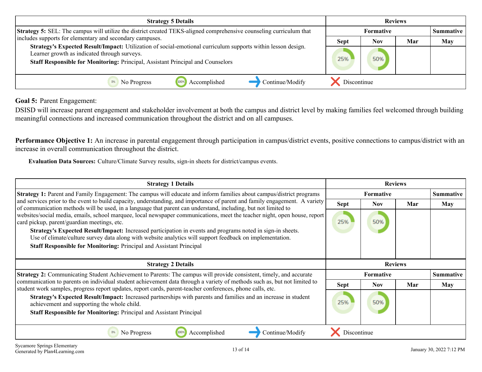<span id="page-12-0"></span>

| <b>Strategy 5 Details</b>                                                                                                                                                                                                                       | <b>Reviews</b> |                  |     |                  |
|-------------------------------------------------------------------------------------------------------------------------------------------------------------------------------------------------------------------------------------------------|----------------|------------------|-----|------------------|
| Strategy 5: SEL: The campus will utilize the district created TEKS-aligned comprehensive counseling curriculum that                                                                                                                             |                | <b>Formative</b> |     | <b>Summative</b> |
| includes supports for elementary and secondary campuses.                                                                                                                                                                                        | <b>Sept</b>    | <b>Nov</b>       | Mar | <b>May</b>       |
| Strategy's Expected Result/Impact: Utilization of social-emotional curriculum supports within lesson design.<br>Learner growth as indicated through surveys.<br>Staff Responsible for Monitoring: Principal, Assistant Principal and Counselors | 25%            | 50%              |     |                  |
| Continue/Modify<br>Accomplished<br>1009<br>No Progress                                                                                                                                                                                          | Discontinue    |                  |     |                  |

**Goal 5:** Parent Engagement:

DSISD will increase parent engagement and stakeholder involvement at both the campus and district level by making families feel welcomed through building meaningful connections and increased communication throughout the district and on all campuses.

Performance Objective 1: An increase in parental engagement through participation in campus/district events, positive connections to campus/district with an increase in overall communication throughout the district.

**Evaluation Data Sources:** Culture/Climate Survey results, sign-in sheets for district/campus events.

| <b>Strategy 1 Details</b>                                                                                                                                                                                                                                                                                                                                                                                                                                                                                                                                                                                                                                                                                                                                                                                                                                        | <b>Reviews</b>   |                  |     |                  |
|------------------------------------------------------------------------------------------------------------------------------------------------------------------------------------------------------------------------------------------------------------------------------------------------------------------------------------------------------------------------------------------------------------------------------------------------------------------------------------------------------------------------------------------------------------------------------------------------------------------------------------------------------------------------------------------------------------------------------------------------------------------------------------------------------------------------------------------------------------------|------------------|------------------|-----|------------------|
| <b>Strategy 1:</b> Parent and Family Engagement: The campus will educate and inform families about campus/district programs<br>and services prior to the event to build capacity, understanding, and importance of parent and family engagement. A variety<br>of communication methods will be used, in a language that parent can understand, including, but not limited to<br>websites/social media, emails, school marquee, local newspaper communications, meet the teacher night, open house, report<br>card pickup, parent/guardian meetings, etc.<br>Strategy's Expected Result/Impact: Increased participation in events and programs noted in sign-in sheets.<br>Use of climate/culture survey data along with website analytics will support feedback on implementation.<br><b>Staff Responsible for Monitoring: Principal and Assistant Principal</b> | <b>Formative</b> |                  |     | <b>Summative</b> |
|                                                                                                                                                                                                                                                                                                                                                                                                                                                                                                                                                                                                                                                                                                                                                                                                                                                                  | <b>Sept</b>      | Nov.             | Mar | May              |
|                                                                                                                                                                                                                                                                                                                                                                                                                                                                                                                                                                                                                                                                                                                                                                                                                                                                  | 25%              | 50%              |     |                  |
|                                                                                                                                                                                                                                                                                                                                                                                                                                                                                                                                                                                                                                                                                                                                                                                                                                                                  | <b>Reviews</b>   |                  |     |                  |
| <b>Strategy 2 Details</b>                                                                                                                                                                                                                                                                                                                                                                                                                                                                                                                                                                                                                                                                                                                                                                                                                                        |                  |                  |     |                  |
| <b>Strategy 2:</b> Communicating Student Achievement to Parents: The campus will provide consistent, timely, and accurate                                                                                                                                                                                                                                                                                                                                                                                                                                                                                                                                                                                                                                                                                                                                        |                  | <b>Formative</b> |     | <b>Summative</b> |
| communication to parents on individual student achievement data through a variety of methods such as, but not limited to                                                                                                                                                                                                                                                                                                                                                                                                                                                                                                                                                                                                                                                                                                                                         | <b>Sept</b>      | Nov.             | Mar | May              |
| student work samples, progress report updates, report cards, parent-teacher conferences, phone calls, etc.<br>Strategy's Expected Result/Impact: Increased partnerships with parents and families and an increase in student<br>achievement and supporting the whole child.<br><b>Staff Responsible for Monitoring: Principal and Assistant Principal</b>                                                                                                                                                                                                                                                                                                                                                                                                                                                                                                        | 25%              | 50%              |     |                  |